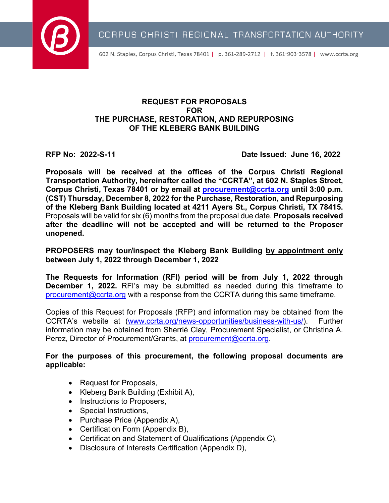

602 N. Staples, Corpus Christi, Texas 78401 | p. 361-289-2712 | f. 361-903-3578 | www.ccrta.org

#### **REQUEST FOR PROPOSALS FOR THE PURCHASE, RESTORATION, AND REPURPOSING OF THE KLEBERG BANK BUILDING**

**RFP No: 2022-S-11 Date Issued: June 16, 2022**

**Proposals will be received at the offices of the Corpus Christi Regional Transportation Authority, hereinafter called the "CCRTA", at 602 N. Staples Street, Corpus Christi, Texas 78401 or by email at [procurement@ccrta.org](mailto:procurement@ccrta.org) until 3:00 p.m. (CST) Thursday, December 8, 2022 for the Purchase, Restoration, and Repurposing of the Kleberg Bank Building located at 4211 Ayers St., Corpus Christi, TX 78415.**  Proposals will be valid for six (6) months from the proposal due date. **Proposals received after the deadline will not be accepted and will be returned to the Proposer unopened.**

**PROPOSERS may tour/inspect the Kleberg Bank Building by appointment only between July 1, 2022 through December 1, 2022** 

**The Requests for Information (RFI) period will be from July 1, 2022 through December 1, 2022.** RFI's may be submitted as needed during this timeframe to [procurement@ccrta.org](mailto:procurement@ccrta.org) with a response from the CCRTA during this same timeframe.

Copies of this Request for Proposals (RFP) and information may be obtained from the CCRTA's website at [\(www.ccrta.org/news-opportunities/business-with-us/\)](http://www.ccrta.org/news-opportunities/business-with-us/). Further information may be obtained from Sherrié Clay, Procurement Specialist, or Christina A. Perez, Director of Procurement/Grants, at [procurement@ccrta.org.](mailto:procurement@ccrta.org)

#### **For the purposes of this procurement, the following proposal documents are applicable:**

- Request for Proposals,
- Kleberg Bank Building (Exhibit A),
- Instructions to Proposers,
- Special Instructions,
- Purchase Price (Appendix A),
- Certification Form (Appendix B),
- Certification and Statement of Qualifications (Appendix C),
- Disclosure of Interests Certification (Appendix D),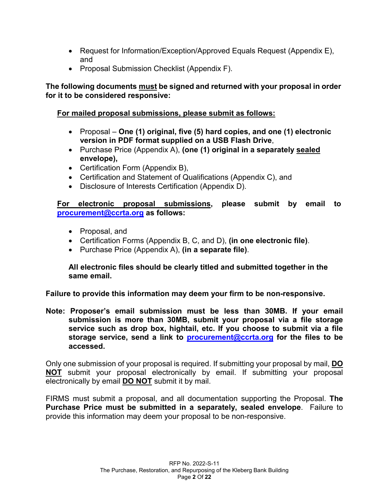- Request for Information/Exception/Approved Equals Request (Appendix E), and
- Proposal Submission Checklist (Appendix F).

# **The following documents must be signed and returned with your proposal in order for it to be considered responsive:**

# **For mailed proposal submissions, please submit as follows:**

- Proposal **One (1) original, five (5) hard copies, and one (1) electronic version in PDF format supplied on a USB Flash Drive**,
- Purchase Price (Appendix A), **(one (1) original in a separately sealed envelope),**
- Certification Form (Appendix B),
- Certification and Statement of Qualifications (Appendix C), and
- Disclosure of Interests Certification (Appendix D).

**For electronic proposal submissions, please submit by email to [procurement@ccrta.org](mailto:procurement@ccrta.org) as follows:**

- Proposal, and
- Certification Forms (Appendix B, C, and D), **(in one electronic file)**.
- Purchase Price (Appendix A), **(in a separate file)**.

#### **All electronic files should be clearly titled and submitted together in the same email.**

**Failure to provide this information may deem your firm to be non-responsive.**

**Note: Proposer's email submission must be less than 30MB. If your email submission is more than 30MB, submit your proposal via a file storage service such as drop box, hightail, etc. If you choose to submit via a file storage service, send a link to [procurement@ccrta.org](mailto:procurement@ccrta.org) for the files to be accessed.**

Only one submission of your proposal is required. If submitting your proposal by mail, **DO NOT** submit your proposal electronically by email. If submitting your proposal electronically by email **DO NOT** submit it by mail.

FIRMS must submit a proposal, and all documentation supporting the Proposal. **The Purchase Price must be submitted in a separately, sealed envelope**. Failure to provide this information may deem your proposal to be non-responsive.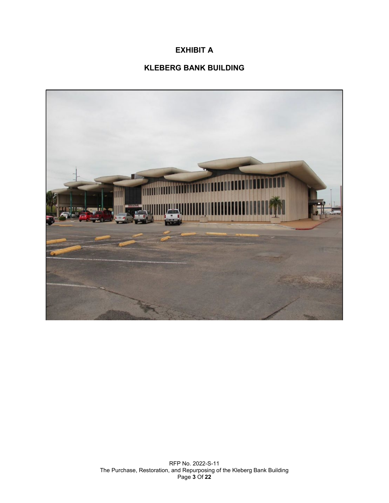# **EXHIBIT A**

# **KLEBERG BANK BUILDING**

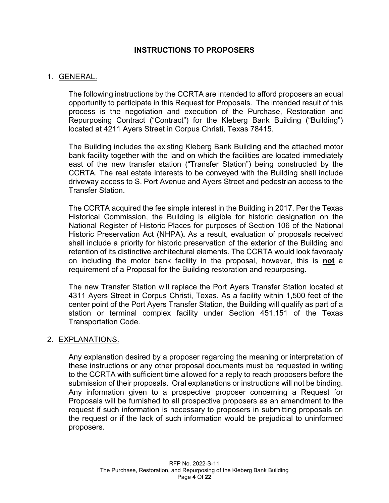#### **INSTRUCTIONS TO PROPOSERS**

#### 1. GENERAL.

The following instructions by the CCRTA are intended to afford proposers an equal opportunity to participate in this Request for Proposals. The intended result of this process is the negotiation and execution of the Purchase, Restoration and Repurposing Contract ("Contract") for the Kleberg Bank Building ("Building") located at 4211 Ayers Street in Corpus Christi, Texas 78415.

The Building includes the existing Kleberg Bank Building and the attached motor bank facility together with the land on which the facilities are located immediately east of the new transfer station ("Transfer Station") being constructed by the CCRTA. The real estate interests to be conveyed with the Building shall include driveway access to S. Port Avenue and Ayers Street and pedestrian access to the Transfer Station.

The CCRTA acquired the fee simple interest in the Building in 2017. Per the Texas Historical Commission, the Building is eligible for historic designation on the National Register of Historic Places for purposes of Section 106 of the National Historic Preservation Act (NHPA)**.** As a result, evaluation of proposals received shall include a priority for historic preservation of the exterior of the Building and retention of its distinctive architectural elements. The CCRTA would look favorably on including the motor bank facility in the proposal, however, this is **not** a requirement of a Proposal for the Building restoration and repurposing.

The new Transfer Station will replace the Port Ayers Transfer Station located at 4311 Ayers Street in Corpus Christi, Texas. As a facility within 1,500 feet of the center point of the Port Ayers Transfer Station, the Building will qualify as part of a station or terminal complex facility under Section 451.151 of the Texas Transportation Code.

#### 2. EXPLANATIONS.

Any explanation desired by a proposer regarding the meaning or interpretation of these instructions or any other proposal documents must be requested in writing to the CCRTA with sufficient time allowed for a reply to reach proposers before the submission of their proposals. Oral explanations or instructions will not be binding. Any information given to a prospective proposer concerning a Request for Proposals will be furnished to all prospective proposers as an amendment to the request if such information is necessary to proposers in submitting proposals on the request or if the lack of such information would be prejudicial to uninformed proposers.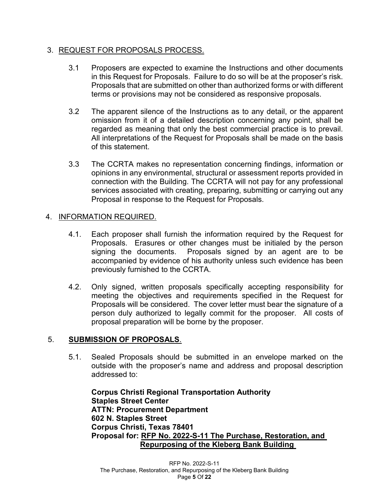#### 3. REQUEST FOR PROPOSALS PROCESS.

- 3.1 Proposers are expected to examine the Instructions and other documents in this Request for Proposals. Failure to do so will be at the proposer's risk. Proposals that are submitted on other than authorized forms or with different terms or provisions may not be considered as responsive proposals.
- 3.2 The apparent silence of the Instructions as to any detail, or the apparent omission from it of a detailed description concerning any point, shall be regarded as meaning that only the best commercial practice is to prevail. All interpretations of the Request for Proposals shall be made on the basis of this statement.
- 3.3 The CCRTA makes no representation concerning findings, information or opinions in any environmental, structural or assessment reports provided in connection with the Building. The CCRTA will not pay for any professional services associated with creating, preparing, submitting or carrying out any Proposal in response to the Request for Proposals.

#### 4. INFORMATION REQUIRED.

- 4.1. Each proposer shall furnish the information required by the Request for Proposals. Erasures or other changes must be initialed by the person signing the documents. Proposals signed by an agent are to be accompanied by evidence of his authority unless such evidence has been previously furnished to the CCRTA.
- 4.2. Only signed, written proposals specifically accepting responsibility for meeting the objectives and requirements specified in the Request for Proposals will be considered. The cover letter must bear the signature of a person duly authorized to legally commit for the proposer. All costs of proposal preparation will be borne by the proposer.

# 5. **SUBMISSION OF PROPOSALS**.

5.1. Sealed Proposals should be submitted in an envelope marked on the outside with the proposer's name and address and proposal description addressed to:

**Corpus Christi Regional Transportation Authority Staples Street Center ATTN: Procurement Department 602 N. Staples Street Corpus Christi, Texas 78401 Proposal for: RFP No. 2022-S-11 The Purchase, Restoration, and Repurposing of the Kleberg Bank Building**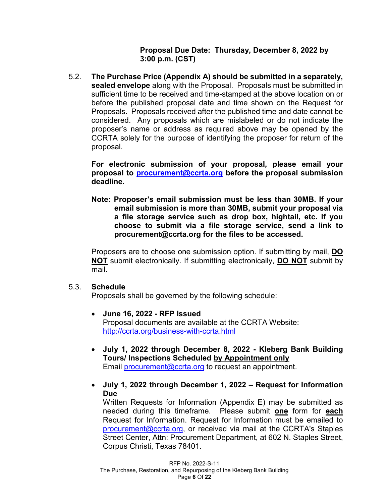**Proposal Due Date: Thursday, December 8, 2022 by 3:00 p.m. (CST)**

5.2. **The Purchase Price (Appendix A) should be submitted in a separately, sealed envelope** along with the Proposal. Proposals must be submitted in sufficient time to be received and time-stamped at the above location on or before the published proposal date and time shown on the Request for Proposals. Proposals received after the published time and date cannot be considered. Any proposals which are mislabeled or do not indicate the proposer's name or address as required above may be opened by the CCRTA solely for the purpose of identifying the proposer for return of the proposal.

**For electronic submission of your proposal, please email your proposal to [procurement@ccrta.org](mailto:procurement@ccrta.org) before the proposal submission deadline.** 

**Note: Proposer's email submission must be less than 30MB. If your email submission is more than 30MB, submit your proposal via a file storage service such as drop box, hightail, etc. If you choose to submit via a file storage service, send a link to procurement@ccrta.org for the files to be accessed.**

Proposers are to choose one submission option. If submitting by mail, **DO NOT** submit electronically. If submitting electronically, **DO NOT** submit by mail.

#### 5.3. **Schedule**

Proposals shall be governed by the following schedule:

- **June 16, 2022 - RFP Issued** Proposal documents are available at the CCRTA Website: <http://ccrta.org/business-with-ccrta.html>
- **July 1, 2022 through December 8, 2022 - Kleberg Bank Building Tours/ Inspections Scheduled by Appointment only** Email [procurement@ccrta.org](mailto:procurement@ccrta.org) to request an appointment.
- **July 1, 2022 through December 1, 2022 – Request for Information Due**

Written Requests for Information (Appendix E) may be submitted as needed during this timeframe. Please submit **one** form for **each** Request for Information. Request for Information must be emailed to [procurement@ccrta.org,](mailto:procurement@ccrta.org) or received via mail at the CCRTA's Staples Street Center, Attn: Procurement Department, at 602 N. Staples Street, Corpus Christi, Texas 78401.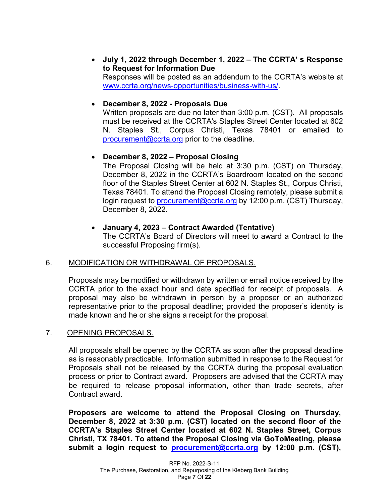• **July 1, 2022 through December 1, 2022 – The CCRTA' s Response to Request for Information Due**

Responses will be posted as an addendum to the CCRTA's website at [www.ccrta.org/news-opportunities/business-with-us/.](http://www.ccrta.org/news-opportunities/business-with-us/)

#### • **December 8, 2022 - Proposals Due**

Written proposals are due no later than 3:00 p.m. (CST). All proposals must be received at the CCRTA's Staples Street Center located at 602 N. Staples St., Corpus Christi, Texas 78401 or emailed to [procurement@ccrta.org](mailto:procurement@ccrta.org) prior to the deadline.

#### • **December 8, 2022 – Proposal Closing**

The Proposal Closing will be held at 3:30 p.m. (CST) on Thursday, December 8, 2022 in the CCRTA's Boardroom located on the second floor of the Staples Street Center at 602 N. Staples St., Corpus Christi, Texas 78401. To attend the Proposal Closing remotely, please submit a login request to [procurement@ccrta.org](mailto:procurement@ccrta.org) by 12:00 p.m. (CST) Thursday, December 8, 2022.

#### • **January 4, 2023 – Contract Awarded (Tentative)**

The CCRTA's Board of Directors will meet to award a Contract to the successful Proposing firm(s).

#### 6. MODIFICATION OR WITHDRAWAL OF PROPOSALS.

Proposals may be modified or withdrawn by written or email notice received by the CCRTA prior to the exact hour and date specified for receipt of proposals. A proposal may also be withdrawn in person by a proposer or an authorized representative prior to the proposal deadline; provided the proposer's identity is made known and he or she signs a receipt for the proposal.

#### 7. OPENING PROPOSALS.

All proposals shall be opened by the CCRTA as soon after the proposal deadline as is reasonably practicable. Information submitted in response to the Request for Proposals shall not be released by the CCRTA during the proposal evaluation process or prior to Contract award. Proposers are advised that the CCRTA may be required to release proposal information, other than trade secrets, after Contract award.

**Proposers are welcome to attend the Proposal Closing on Thursday, December 8, 2022 at 3:30 p.m. (CST) located on the second floor of the CCRTA's Staples Street Center located at 602 N. Staples Street, Corpus Christi, TX 78401. To attend the Proposal Closing via GoToMeeting, please submit a login request to [procurement@ccrta.org](mailto:procurement@ccrta.org) by 12:00 p.m. (CST),**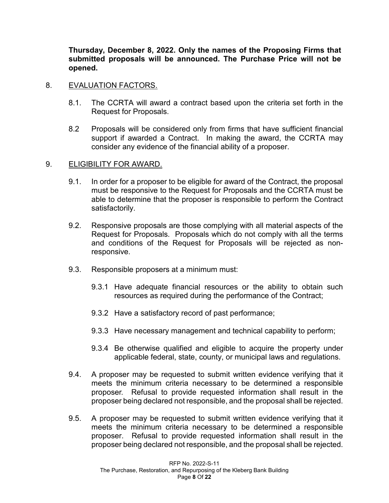**Thursday, December 8, 2022. Only the names of the Proposing Firms that submitted proposals will be announced. The Purchase Price will not be opened.**

#### 8. EVALUATION FACTORS.

- 8.1. The CCRTA will award a contract based upon the criteria set forth in the Request for Proposals.
- 8.2 Proposals will be considered only from firms that have sufficient financial support if awarded a Contract. In making the award, the CCRTA may consider any evidence of the financial ability of a proposer.

#### 9. ELIGIBILITY FOR AWARD.

- 9.1. In order for a proposer to be eligible for award of the Contract, the proposal must be responsive to the Request for Proposals and the CCRTA must be able to determine that the proposer is responsible to perform the Contract satisfactorily.
- 9.2. Responsive proposals are those complying with all material aspects of the Request for Proposals. Proposals which do not comply with all the terms and conditions of the Request for Proposals will be rejected as nonresponsive.
- 9.3. Responsible proposers at a minimum must:
	- 9.3.1 Have adequate financial resources or the ability to obtain such resources as required during the performance of the Contract;
	- 9.3.2 Have a satisfactory record of past performance;
	- 9.3.3 Have necessary management and technical capability to perform;
	- 9.3.4 Be otherwise qualified and eligible to acquire the property under applicable federal, state, county, or municipal laws and regulations.
- 9.4. A proposer may be requested to submit written evidence verifying that it meets the minimum criteria necessary to be determined a responsible proposer. Refusal to provide requested information shall result in the proposer being declared not responsible, and the proposal shall be rejected.
- 9.5. A proposer may be requested to submit written evidence verifying that it meets the minimum criteria necessary to be determined a responsible proposer. Refusal to provide requested information shall result in the proposer being declared not responsible, and the proposal shall be rejected.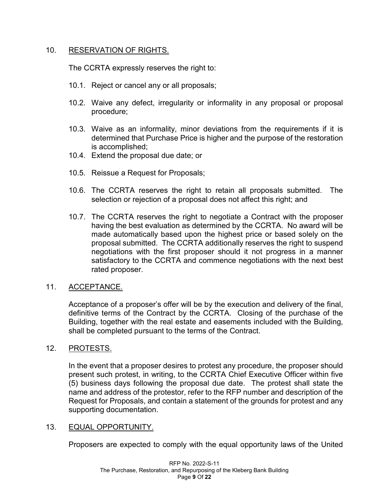#### 10. RESERVATION OF RIGHTS.

The CCRTA expressly reserves the right to:

- 10.1. Reject or cancel any or all proposals;
- 10.2. Waive any defect, irregularity or informality in any proposal or proposal procedure;
- 10.3. Waive as an informality, minor deviations from the requirements if it is determined that Purchase Price is higher and the purpose of the restoration is accomplished;
- 10.4. Extend the proposal due date; or
- 10.5. Reissue a Request for Proposals;
- 10.6. The CCRTA reserves the right to retain all proposals submitted. The selection or rejection of a proposal does not affect this right; and
- 10.7. The CCRTA reserves the right to negotiate a Contract with the proposer having the best evaluation as determined by the CCRTA. No award will be made automatically based upon the highest price or based solely on the proposal submitted. The CCRTA additionally reserves the right to suspend negotiations with the first proposer should it not progress in a manner satisfactory to the CCRTA and commence negotiations with the next best rated proposer.

#### 11. ACCEPTANCE.

Acceptance of a proposer's offer will be by the execution and delivery of the final, definitive terms of the Contract by the CCRTA. Closing of the purchase of the Building, together with the real estate and easements included with the Building, shall be completed pursuant to the terms of the Contract.

#### 12. PROTESTS.

In the event that a proposer desires to protest any procedure, the proposer should present such protest, in writing, to the CCRTA Chief Executive Officer within five (5) business days following the proposal due date. The protest shall state the name and address of the protestor, refer to the RFP number and description of the Request for Proposals, and contain a statement of the grounds for protest and any supporting documentation.

#### 13. EQUAL OPPORTUNITY.

Proposers are expected to comply with the equal opportunity laws of the United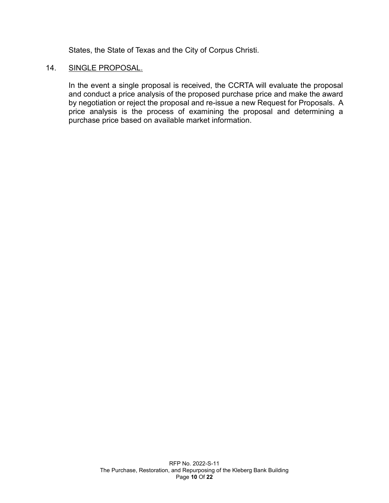States, the State of Texas and the City of Corpus Christi.

#### 14. SINGLE PROPOSAL.

In the event a single proposal is received, the CCRTA will evaluate the proposal and conduct a price analysis of the proposed purchase price and make the award by negotiation or reject the proposal and re-issue a new Request for Proposals. A price analysis is the process of examining the proposal and determining a purchase price based on available market information.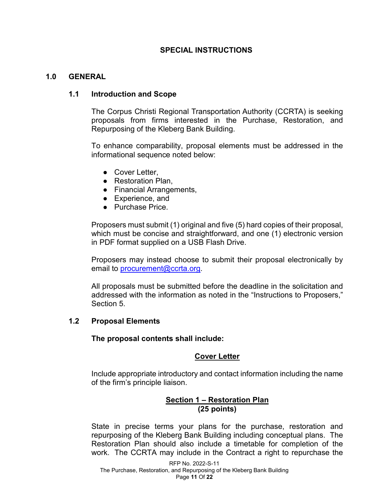#### **SPECIAL INSTRUCTIONS**

#### **1.0 GENERAL**

#### **1.1 Introduction and Scope**

The Corpus Christi Regional Transportation Authority (CCRTA) is seeking proposals from firms interested in the Purchase, Restoration, and Repurposing of the Kleberg Bank Building.

To enhance comparability, proposal elements must be addressed in the informational sequence noted below:

- Cover Letter,
- Restoration Plan,
- Financial Arrangements,
- Experience, and
- Purchase Price.

Proposers must submit (1) original and five (5) hard copies of their proposal, which must be concise and straightforward, and one (1) electronic version in PDF format supplied on a USB Flash Drive.

Proposers may instead choose to submit their proposal electronically by email to [procurement@ccrta.org.](mailto:procurement@ccrta.org)

All proposals must be submitted before the deadline in the solicitation and addressed with the information as noted in the "Instructions to Proposers," Section 5.

#### **1.2 Proposal Elements**

**The proposal contents shall include:**

#### **Cover Letter**

Include appropriate introductory and contact information including the name of the firm's principle liaison.

# **Section 1 – Restoration Plan (25 points)**

State in precise terms your plans for the purchase, restoration and repurposing of the Kleberg Bank Building including conceptual plans. The Restoration Plan should also include a timetable for completion of the work. The CCRTA may include in the Contract a right to repurchase the

RFP No. 2022-S-11 The Purchase, Restoration, and Repurposing of the Kleberg Bank Building Page **11** Of **22**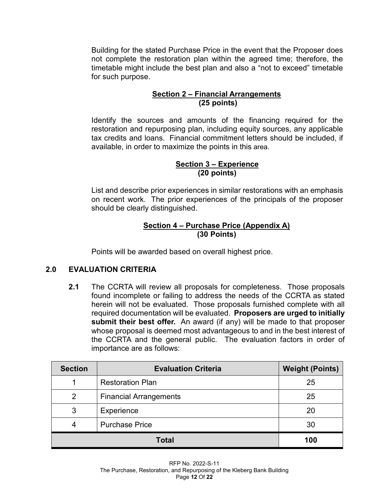Building for the stated Purchase Price in the event that the Proposer does not complete the restoration plan within the agreed time; therefore, the timetable might include the best plan and also a "not to exceed" timetable for such purpose.

#### **Section 2 – Financial Arrangements (25 points)**

Identify the sources and amounts of the financing required for the restoration and repurposing plan, including equity sources, any applicable tax credits and loans. Financial commitment letters should be included, if available, in order to maximize the points in this area.

#### **Section 3 – Experience (20 points)**

List and describe prior experiences in similar restorations with an emphasis on recent work. The prior experiences of the principals of the proposer should be clearly distinguished.

#### **Section 4 – Purchase Price (Appendix A) (30 Points)**

Points will be awarded based on overall highest price.

# **2.0 EVALUATION CRITERIA**

**2.1** The CCRTA will review all proposals for completeness. Those proposals found incomplete or failing to address the needs of the CCRTA as stated herein will not be evaluated. Those proposals furnished complete with all required documentation will be evaluated. **Proposers are urged to initially submit their best offer.** An award (if any) will be made to that proposer whose proposal is deemed most advantageous to and in the best interest of the CCRTA and the general public. The evaluation factors in order of importance are as follows:

| <b>Section</b> | <b>Evaluation Criteria</b>    | <b>Weight (Points)</b> |
|----------------|-------------------------------|------------------------|
|                | <b>Restoration Plan</b>       | 25                     |
| 2              | <b>Financial Arrangements</b> | 25                     |
| 3              | Experience                    | 20                     |
|                | <b>Purchase Price</b>         | 30                     |
|                | 100                           |                        |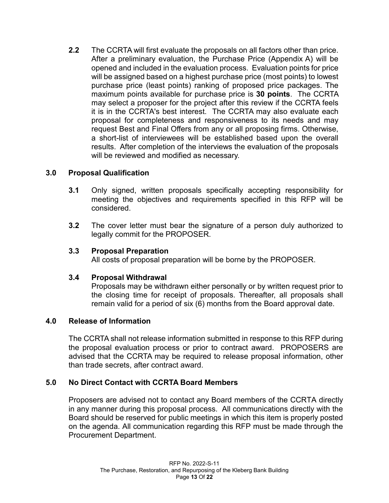**2.2** The CCRTA will first evaluate the proposals on all factors other than price. After a preliminary evaluation, the Purchase Price (Appendix A) will be opened and included in the evaluation process. Evaluation points for price will be assigned based on a highest purchase price (most points) to lowest purchase price (least points) ranking of proposed price packages. The maximum points available for purchase price is **30 points**. The CCRTA may select a proposer for the project after this review if the CCRTA feels it is in the CCRTA's best interest. The CCRTA may also evaluate each proposal for completeness and responsiveness to its needs and may request Best and Final Offers from any or all proposing firms. Otherwise, a short-list of interviewees will be established based upon the overall results. After completion of the interviews the evaluation of the proposals will be reviewed and modified as necessary.

#### **3.0 Proposal Qualification**

- **3.1** Only signed, written proposals specifically accepting responsibility for meeting the objectives and requirements specified in this RFP will be considered.
- **3.2** The cover letter must bear the signature of a person duly authorized to legally commit for the PROPOSER.

#### **3.3 Proposal Preparation**

All costs of proposal preparation will be borne by the PROPOSER.

#### **3.4 Proposal Withdrawal**

Proposals may be withdrawn either personally or by written request prior to the closing time for receipt of proposals. Thereafter, all proposals shall remain valid for a period of six (6) months from the Board approval date.

#### **4.0 Release of Information**

The CCRTA shall not release information submitted in response to this RFP during the proposal evaluation process or prior to contract award. PROPOSERS are advised that the CCRTA may be required to release proposal information, other than trade secrets, after contract award.

# **5.0 No Direct Contact with CCRTA Board Members**

Proposers are advised not to contact any Board members of the CCRTA directly in any manner during this proposal process. All communications directly with the Board should be reserved for public meetings in which this item is properly posted on the agenda. All communication regarding this RFP must be made through the Procurement Department.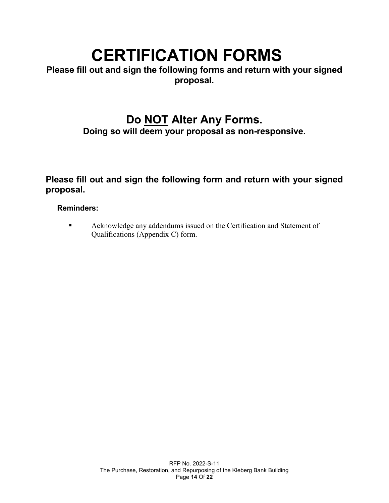# **CERTIFICATION FORMS**

**Please fill out and sign the following forms and return with your signed proposal.**

# **Do NOT Alter Any Forms. Doing so will deem your proposal as non-responsive.**

**Please fill out and sign the following form and return with your signed proposal.**

#### **Reminders:**

**Acknowledge any addendums issued on the Certification and Statement of** Qualifications (Appendix C) form.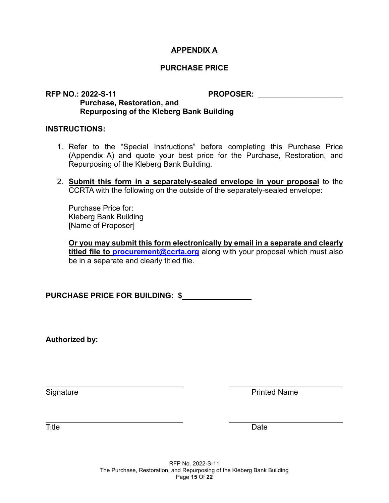#### **APPENDIX A**

#### **PURCHASE PRICE**

#### **RFP NO.: 2022-S-11 PROPOSER:** \_\_\_\_\_\_\_\_\_\_\_\_\_\_\_\_\_\_\_\_ **Purchase, Restoration, and Repurposing of the Kleberg Bank Building**

#### **INSTRUCTIONS:**

- 1. Refer to the "Special Instructions" before completing this Purchase Price (Appendix A) and quote your best price for the Purchase, Restoration, and Repurposing of the Kleberg Bank Building.
- 2. **Submit this form in a separately-sealed envelope in your proposal** to the CCRTA with the following on the outside of the separately-sealed envelope:

Purchase Price for: Kleberg Bank Building [Name of Proposer]

**Or you may submit this form electronically by email in a separate and clearly titled file to [procurement@ccrta.org](mailto:procurement@ccrta.org)** along with your proposal which must also be in a separate and clearly titled file.

**PURCHASE PRICE FOR BUILDING: \$**

**Authorized by:**

Signature **Printed Name** 

Title Date Date of the Date of the Date of the Date of the Date of the Date of the Date of the Date of the Date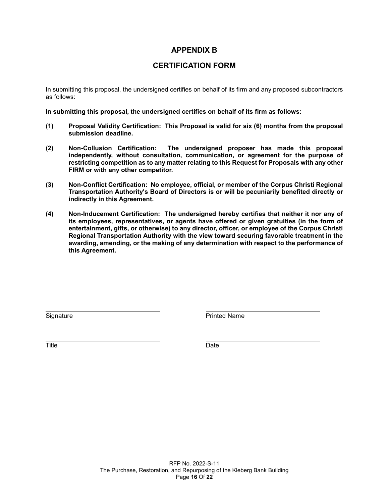#### **APPENDIX B**

#### **CERTIFICATION FORM**

In submitting this proposal, the undersigned certifies on behalf of its firm and any proposed subcontractors as follows:

**In submitting this proposal, the undersigned certifies on behalf of its firm as follows:** 

- **(1) Proposal Validity Certification: This Proposal is valid for six (6) months from the proposal submission deadline.**
- **(2) Non-Collusion Certification: The undersigned proposer has made this proposal independently, without consultation, communication, or agreement for the purpose of restricting competition as to any matter relating to this Request for Proposals with any other FIRM or with any other competitor.**
- **(3) Non-Conflict Certification: No employee, official, or member of the Corpus Christi Regional Transportation Authority's Board of Directors is or will be pecuniarily benefited directly or indirectly in this Agreement.**
- **(4) Non-Inducement Certification: The undersigned hereby certifies that neither it nor any of its employees, representatives, or agents have offered or given gratuities (in the form of entertainment, gifts, or otherwise) to any director, officer, or employee of the Corpus Christi Regional Transportation Authority with the view toward securing favorable treatment in the awarding, amending, or the making of any determination with respect to the performance of this Agreement.**

Signature **Printed Name** 

Title Date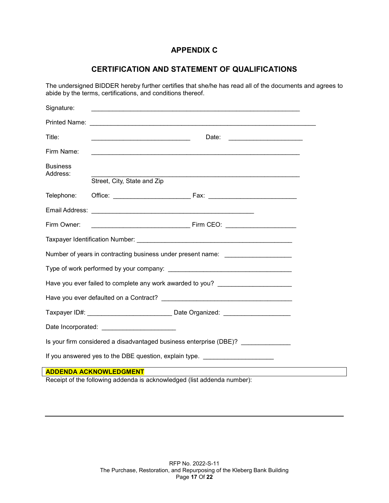# **APPENDIX C**

# **CERTIFICATION AND STATEMENT OF QUALIFICATIONS**

The undersigned BIDDER hereby further certifies that she/he has read all of the documents and agrees to abide by the terms, certifications, and conditions thereof.

| Signature:                  |                                                                                  |  |
|-----------------------------|----------------------------------------------------------------------------------|--|
|                             |                                                                                  |  |
| Title:                      | <u> 1990 - Johann John Stoff, mars and de Brasilian (b. 1980)</u>                |  |
| Firm Name:                  | <u> 1989 - Johann Stoff, amerikansk politiker (d. 1989)</u>                      |  |
| <b>Business</b><br>Address: | Street, City, State and Zip                                                      |  |
| Telephone:                  |                                                                                  |  |
|                             |                                                                                  |  |
| Firm Owner:                 |                                                                                  |  |
|                             |                                                                                  |  |
|                             | Number of years in contracting business under present name: ____________________ |  |
|                             |                                                                                  |  |
|                             | Have you ever failed to complete any work awarded to you? ______________________ |  |
|                             |                                                                                  |  |
|                             | Taxpayer ID#: ___________________________________ Date Organized: ______________ |  |
|                             |                                                                                  |  |
|                             | Is your firm considered a disadvantaged business enterprise (DBE)? _____________ |  |
|                             | If you answered yes to the DBE question, explain type. _________________________ |  |
|                             | <b>ADDENDA ACKNOWLEDGMENT</b>                                                    |  |
|                             | Receipt of the following addenda is acknowledged (list addenda number):          |  |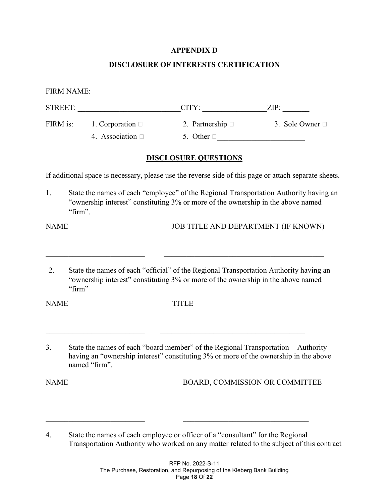#### **APPENDIX D**

#### **DISCLOSURE OF INTERESTS CERTIFICATION**

|              |                                                           | $CITY:$ $ZIP:$                                                                                                                                                            |                                |
|--------------|-----------------------------------------------------------|---------------------------------------------------------------------------------------------------------------------------------------------------------------------------|--------------------------------|
|              | FIRM is: $1.$ Corporation $\Box$<br>4. Association $\Box$ | 2. Partnership $\Box$<br>5. Other $\square$                                                                                                                               | 3. Sole Owner $\Box$           |
|              |                                                           | <b>DISCLOSURE QUESTIONS</b>                                                                                                                                               |                                |
|              |                                                           | If additional space is necessary, please use the reverse side of this page or attach separate sheets.                                                                     |                                |
| 1.           | "firm".                                                   | State the names of each "employee" of the Regional Transportation Authority having an<br>"ownership interest" constituting 3% or more of the ownership in the above named |                                |
| <b>NAME</b>  |                                                           | JOB TITLE AND DEPARTMENT (IF KNOWN)                                                                                                                                       |                                |
| 2.<br>"firm" |                                                           | State the names of each "official" of the Regional Transportation Authority having an<br>"ownership interest" constituting 3% or more of the ownership in the above named |                                |
| <b>NAME</b>  |                                                           | <b>TITLE</b>                                                                                                                                                              |                                |
| 3.           | named "firm".                                             | State the names of each "board member" of the Regional Transportation Authority<br>having an "ownership interest" constituting 3% or more of the ownership in the above   |                                |
| <b>NAME</b>  |                                                           |                                                                                                                                                                           | BOARD, COMMISSION OR COMMITTEE |
|              |                                                           |                                                                                                                                                                           |                                |
|              |                                                           |                                                                                                                                                                           |                                |

<sup>4.</sup> State the names of each employee or officer of a "consultant" for the Regional Transportation Authority who worked on any matter related to the subject of this contract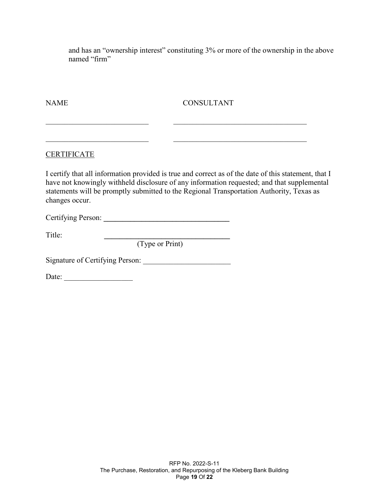and has an "ownership interest" constituting 3% or more of the ownership in the above named "firm"

NAME CONSULTANT

#### CERTIFICATE

I certify that all information provided is true and correct as of the date of this statement, that I have not knowingly withheld disclosure of any information requested; and that supplemental statements will be promptly submitted to the Regional Transportation Authority, Texas as changes occur.

\_\_\_\_\_\_\_\_\_\_\_\_\_\_\_\_\_\_\_\_\_\_\_\_\_\_\_ \_\_\_\_\_\_\_\_\_\_\_\_\_\_\_\_\_\_\_\_\_\_\_\_\_\_\_\_\_\_\_\_\_\_\_

\_\_\_\_\_\_\_\_\_\_\_\_\_\_\_\_\_\_\_\_\_\_\_\_\_\_\_ \_\_\_\_\_\_\_\_\_\_\_\_\_\_\_\_\_\_\_\_\_\_\_\_\_\_\_\_\_\_\_\_\_\_\_

Certifying Person: **\_\_\_\_\_\_\_\_\_\_\_\_\_\_\_\_\_\_\_\_\_\_\_\_\_\_\_\_\_\_\_\_\_** 

Title: **\_\_\_\_\_\_\_\_\_\_\_\_\_\_\_\_\_\_\_\_\_\_\_\_\_\_\_\_\_\_\_\_\_**

(Type or Print)

Signature of Certifying Person: \_\_\_\_\_\_\_\_\_\_\_\_\_\_\_\_\_\_\_\_\_\_\_

Date: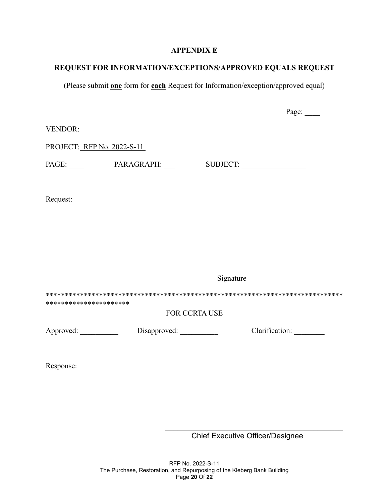#### **APPENDIX E**

# **REQUEST FOR INFORMATION/EXCEPTIONS/APPROVED EQUALS REQUEST**

(Please submit **one** form for **each** Request for Information/exception/approved equal)

|                            |                      |                      | Page: |
|----------------------------|----------------------|----------------------|-------|
| VENDOR:                    |                      |                      |       |
| PROJECT: RFP No. 2022-S-11 |                      |                      |       |
|                            | PAGE: PARAGRAPH: ___ |                      |       |
| Request:                   |                      |                      |       |
|                            |                      |                      |       |
|                            |                      |                      |       |
|                            |                      |                      |       |
|                            |                      | Signature            |       |
| **********************     |                      |                      |       |
|                            |                      | <b>FOR CCRTA USE</b> |       |
| Approved:                  |                      |                      |       |
| Response:                  |                      |                      |       |

\_\_\_\_\_\_\_\_\_\_\_\_\_\_\_\_\_\_\_\_\_\_\_\_\_\_\_\_\_\_\_\_\_\_\_\_\_\_\_\_\_\_ Chief Executive Officer/Designee

RFP No. 2022-S-11 The Purchase, Restoration, and Repurposing of the Kleberg Bank Building Page **20** Of **22**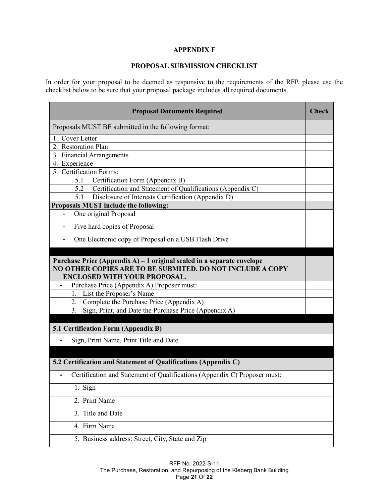#### **APPENDIX F**

#### **PROPOSAL SUBMISSION CHECKLIST**

In order for your proposal to be deemed as responsive to the requirements of the RFP, please use the checklist below to be sure that your proposal package includes all required documents.

| <b>Proposal Documents Required</b>                                                                                                                                          | <b>Check</b> |
|-----------------------------------------------------------------------------------------------------------------------------------------------------------------------------|--------------|
| Proposals MUST BE submitted in the following format:                                                                                                                        |              |
| 1. Cover Letter                                                                                                                                                             |              |
| 2. Restoration Plan                                                                                                                                                         |              |
| 3. Financial Arrangements                                                                                                                                                   |              |
| 4. Experience                                                                                                                                                               |              |
| 5. Certification Forms:                                                                                                                                                     |              |
| Certification Form (Appendix B)<br>5.1                                                                                                                                      |              |
| 5.2<br>Certification and Statement of Qualifications (Appendix C)<br>5.3<br>Disclosure of Interests Certification (Appendix D)                                              |              |
| Proposals MUST include the following:                                                                                                                                       |              |
| One original Proposal                                                                                                                                                       |              |
|                                                                                                                                                                             |              |
| Five hard copies of Proposal                                                                                                                                                |              |
| One Electronic copy of Proposal on a USB Flash Drive                                                                                                                        |              |
|                                                                                                                                                                             |              |
| Purchase Price (Appendix A) $-1$ original sealed in a separate envelope<br>NO OTHER COPIES ARE TO BE SUBMITED. DO NOT INCLUDE A COPY<br><b>ENCLOSED WITH YOUR PROPOSAL.</b> |              |
| Purchase Price (Appendix A) Proposer must:                                                                                                                                  |              |
| List the Proposer's Name<br>1.                                                                                                                                              |              |
| Complete the Purchase Price (Appendix A)<br>2.                                                                                                                              |              |
| 3.<br>Sign, Print, and Date the Purchase Price (Appendix A)                                                                                                                 |              |
| 5.1 Certification Form (Appendix B)                                                                                                                                         |              |
| Sign, Print Name, Print Title and Date                                                                                                                                      |              |
|                                                                                                                                                                             |              |
| 5.2 Certification and Statement of Qualifications (Appendix C)                                                                                                              |              |
| Certification and Statement of Qualifications (Appendix C) Proposer must:                                                                                                   |              |
| 1. Sign                                                                                                                                                                     |              |
| 2. Print Name                                                                                                                                                               |              |
| 3. Title and Date                                                                                                                                                           |              |
| 4. Firm Name                                                                                                                                                                |              |
| 5. Business address: Street, City, State and Zip                                                                                                                            |              |